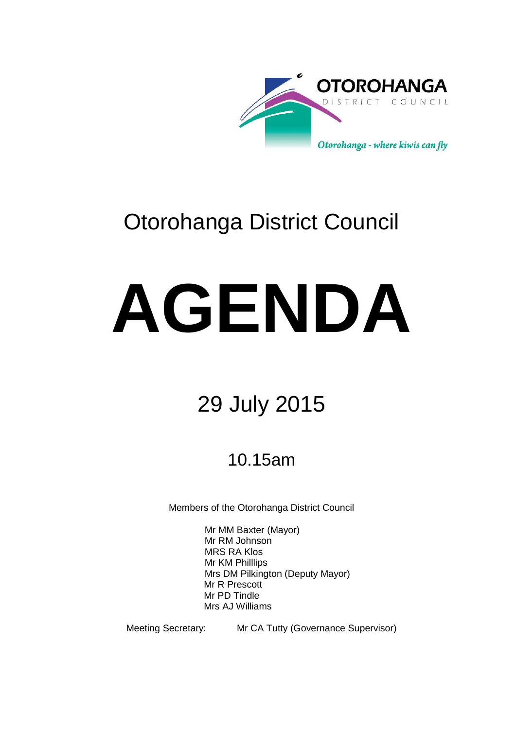

# Otorohanga District Council

# **AGENDA**

# 29 July 2015

# 10.15am

Members of the Otorohanga District Council

Mr MM Baxter (Mayor) Mr RM Johnson MRS RA Klos Mr KM Philllips Mrs DM Pilkington (Deputy Mayor) Mr R Prescott Mr PD Tindle Mrs AJ Williams

Meeting Secretary: Mr CA Tutty (Governance Supervisor)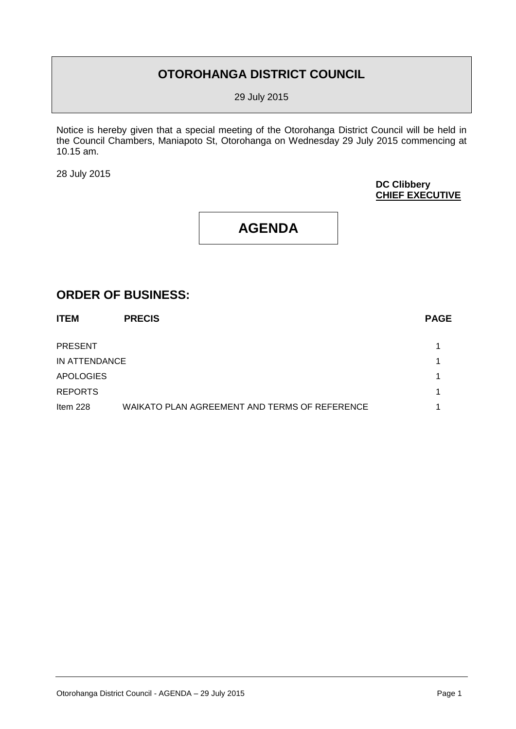# **OTOROHANGA DISTRICT COUNCIL**

29 July 2015

Notice is hereby given that a special meeting of the Otorohanga District Council will be held in the Council Chambers, Maniapoto St, Otorohanga on Wednesday 29 July 2015 commencing at 10.15 am.

28 July 2015

# **DC Clibbery CHIEF EXECUTIVE**

# **AGENDA**

# **ORDER OF BUSINESS:**

| <b>ITEM</b>      | <b>PRECIS</b>                                 | <b>PAGE</b> |
|------------------|-----------------------------------------------|-------------|
| <b>PRESENT</b>   |                                               |             |
| IN ATTENDANCE    |                                               |             |
| <b>APOLOGIES</b> |                                               |             |
| <b>REPORTS</b>   |                                               | 1           |
| Item $228$       | WAIKATO PLAN AGREEMENT AND TERMS OF REFERENCE |             |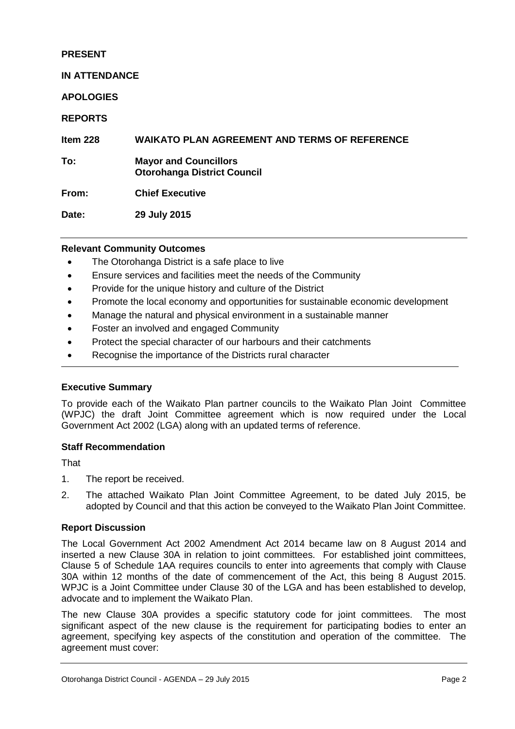# **PRESENT**

### **IN ATTENDANCE**

**APOLOGIES**

# **REPORTS**

**Item 228 WAIKATO PLAN AGREEMENT AND TERMS OF REFERENCE**

**To: Mayor and Councillors Otorohanga District Council**

**From: Chief Executive**

**Date: 29 July 2015**

# **Relevant Community Outcomes**

- The Otorohanga District is a safe place to live
- Ensure services and facilities meet the needs of the Community
- Provide for the unique history and culture of the District
- Promote the local economy and opportunities for sustainable economic development
- Manage the natural and physical environment in a sustainable manner
- Foster an involved and engaged Community
- Protect the special character of our harbours and their catchments
- Recognise the importance of the Districts rural character

# **Executive Summary**

To provide each of the Waikato Plan partner councils to the Waikato Plan Joint Committee (WPJC) the draft Joint Committee agreement which is now required under the Local Government Act 2002 (LGA) along with an updated terms of reference.

#### **Staff Recommendation**

**That** 

- 1. The report be received.
- 2. The attached Waikato Plan Joint Committee Agreement, to be dated July 2015, be adopted by Council and that this action be conveyed to the Waikato Plan Joint Committee.

#### **Report Discussion**

The Local Government Act 2002 Amendment Act 2014 became law on 8 August 2014 and inserted a new Clause 30A in relation to joint committees. For established joint committees, Clause 5 of Schedule 1AA requires councils to enter into agreements that comply with Clause 30A within 12 months of the date of commencement of the Act, this being 8 August 2015. WPJC is a Joint Committee under Clause 30 of the LGA and has been established to develop, advocate and to implement the Waikato Plan.

The new Clause 30A provides a specific statutory code for joint committees. The most significant aspect of the new clause is the requirement for participating bodies to enter an agreement, specifying key aspects of the constitution and operation of the committee. The agreement must cover: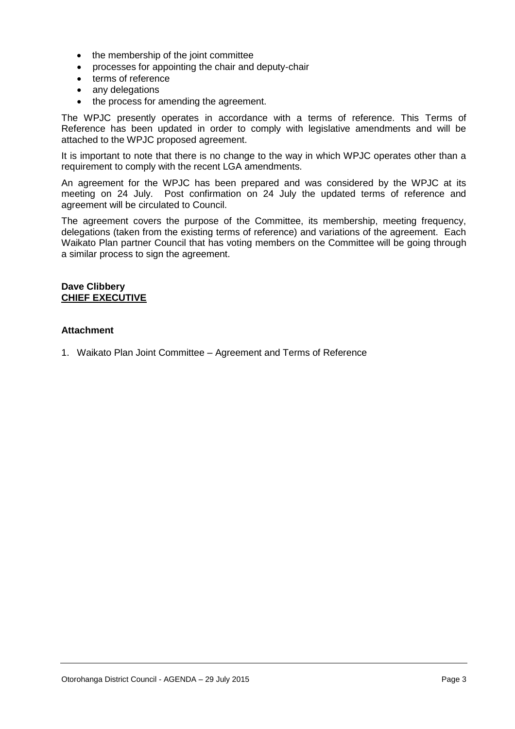- the membership of the joint committee
- processes for appointing the chair and deputy-chair
- terms of reference
- any delegations
- the process for amending the agreement.

The WPJC presently operates in accordance with a terms of reference. This Terms of Reference has been updated in order to comply with legislative amendments and will be attached to the WPJC proposed agreement.

It is important to note that there is no change to the way in which WPJC operates other than a requirement to comply with the recent LGA amendments.

An agreement for the WPJC has been prepared and was considered by the WPJC at its meeting on 24 July. Post confirmation on 24 July the updated terms of reference and agreement will be circulated to Council.

The agreement covers the purpose of the Committee, its membership, meeting frequency, delegations (taken from the existing terms of reference) and variations of the agreement. Each Waikato Plan partner Council that has voting members on the Committee will be going through a similar process to sign the agreement.

### **Dave Clibbery CHIEF EXECUTIVE**

# **Attachment**

1. Waikato Plan Joint Committee – Agreement and Terms of Reference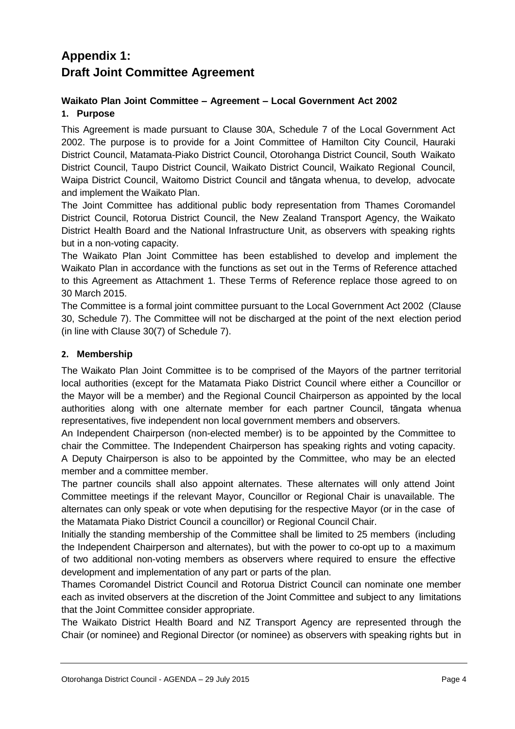# **Appendix 1: Draft Joint Committee Agreement**

# **Waikato Plan Joint Committee – Agreement – Local Government Act 2002 1. Purpose**

This Agreement is made pursuant to Clause 30A, Schedule 7 of the Local Government Act 2002. The purpose is to provide for a Joint Committee of Hamilton City Council, Hauraki District Council, Matamata-Piako District Council, Otorohanga District Council, South Waikato District Council, Taupo District Council, Waikato District Council, Waikato Regional Council, Waipa District Council, Waitomo District Council and tāngata whenua, to develop, advocate and implement the Waikato Plan.

The Joint Committee has additional public body representation from Thames Coromandel District Council, Rotorua District Council, the New Zealand Transport Agency, the Waikato District Health Board and the National Infrastructure Unit, as observers with speaking rights but in a non-voting capacity.

The Waikato Plan Joint Committee has been established to develop and implement the Waikato Plan in accordance with the functions as set out in the Terms of Reference attached to this Agreement as Attachment 1. These Terms of Reference replace those agreed to on 30 March 2015.

The Committee is a formal joint committee pursuant to the Local Government Act 2002 (Clause 30, Schedule 7). The Committee will not be discharged at the point of the next election period (in line with Clause 30(7) of Schedule 7).

# **2. Membership**

The Waikato Plan Joint Committee is to be comprised of the Mayors of the partner territorial local authorities (except for the Matamata Piako District Council where either a Councillor or the Mayor will be a member) and the Regional Council Chairperson as appointed by the local authorities along with one alternate member for each partner Council, tāngata whenua representatives, five independent non local government members and observers.

An Independent Chairperson (non-elected member) is to be appointed by the Committee to chair the Committee. The Independent Chairperson has speaking rights and voting capacity.

A Deputy Chairperson is also to be appointed by the Committee, who may be an elected member and a committee member.

The partner councils shall also appoint alternates. These alternates will only attend Joint Committee meetings if the relevant Mayor, Councillor or Regional Chair is unavailable. The alternates can only speak or vote when deputising for the respective Mayor (or in the case of the Matamata Piako District Council a councillor) or Regional Council Chair.

Initially the standing membership of the Committee shall be limited to 25 members (including the Independent Chairperson and alternates), but with the power to co-opt up to a maximum of two additional non-voting members as observers where required to ensure the effective development and implementation of any part or parts of the plan.

Thames Coromandel District Council and Rotorua District Council can nominate one member each as invited observers at the discretion of the Joint Committee and subject to any limitations that the Joint Committee consider appropriate.

The Waikato District Health Board and NZ Transport Agency are represented through the Chair (or nominee) and Regional Director (or nominee) as observers with speaking rights but in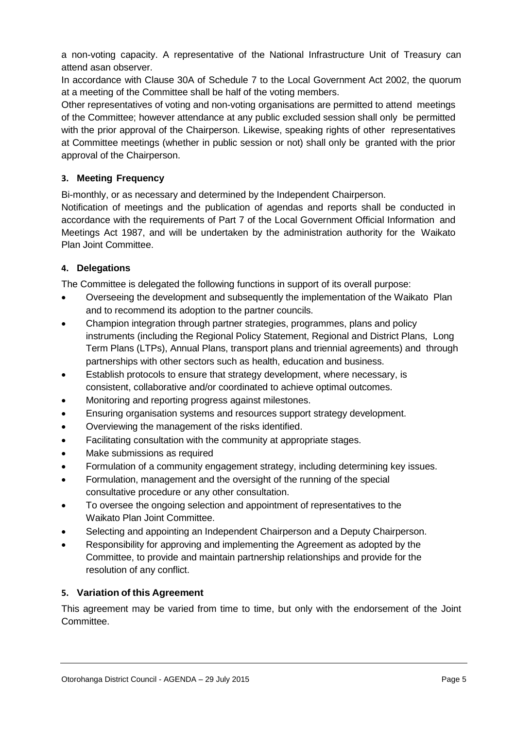a non-voting capacity. A representative of the National Infrastructure Unit of Treasury can attend asan observer.

In accordance with Clause 30A of Schedule 7 to the Local Government Act 2002, the quorum at a meeting of the Committee shall be half of the voting members.

Other representatives of voting and non-voting organisations are permitted to attend meetings of the Committee; however attendance at any public excluded session shall only be permitted with the prior approval of the Chairperson. Likewise, speaking rights of other representatives at Committee meetings (whether in public session or not) shall only be granted with the prior approval of the Chairperson.

# **3. Meeting Frequency**

Bi-monthly, or as necessary and determined by the Independent Chairperson.

Notification of meetings and the publication of agendas and reports shall be conducted in accordance with the requirements of Part 7 of the Local Government Official Information and Meetings Act 1987, and will be undertaken by the administration authority for the Waikato Plan Joint Committee.

# **4. Delegations**

The Committee is delegated the following functions in support of its overall purpose:

- Overseeing the development and subsequently the implementation of the Waikato Plan and to recommend its adoption to the partner councils.
- Champion integration through partner strategies, programmes, plans and policy instruments (including the Regional Policy Statement, Regional and District Plans, Long Term Plans (LTPs), Annual Plans, transport plans and triennial agreements) and through partnerships with other sectors such as health, education and business.
- Establish protocols to ensure that strategy development, where necessary, is consistent, collaborative and/or coordinated to achieve optimal outcomes.
- Monitoring and reporting progress against milestones.
- Ensuring organisation systems and resources support strategy development.
- Overviewing the management of the risks identified.
- Facilitating consultation with the community at appropriate stages.
- Make submissions as required
- Formulation of a community engagement strategy, including determining key issues.
- Formulation, management and the oversight of the running of the special consultative procedure or any other consultation.
- To oversee the ongoing selection and appointment of representatives to the Waikato Plan Joint Committee.
- Selecting and appointing an Independent Chairperson and a Deputy Chairperson.
- Responsibility for approving and implementing the Agreement as adopted by the Committee, to provide and maintain partnership relationships and provide for the resolution of any conflict.

# **5. Variation of this Agreement**

This agreement may be varied from time to time, but only with the endorsement of the Joint Committee.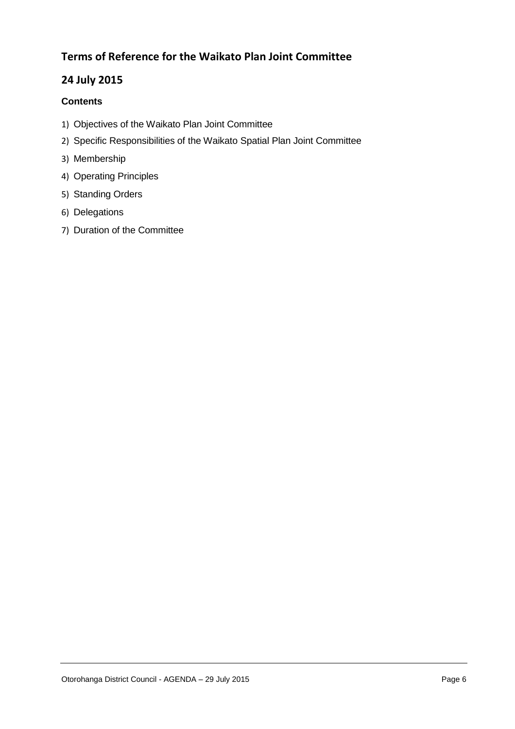# **Terms of Reference for the Waikato Plan Joint Committee**

# **24 July 2015**

# **Contents**

- 1) Objectives of the Waikato Plan Joint Committee
- 2) Specific Responsibilities of the Waikato Spatial Plan Joint Committee
- 3) Membership
- 4) Operating Principles
- 5) Standing Orders
- 6) Delegations
- 7) Duration of the Committee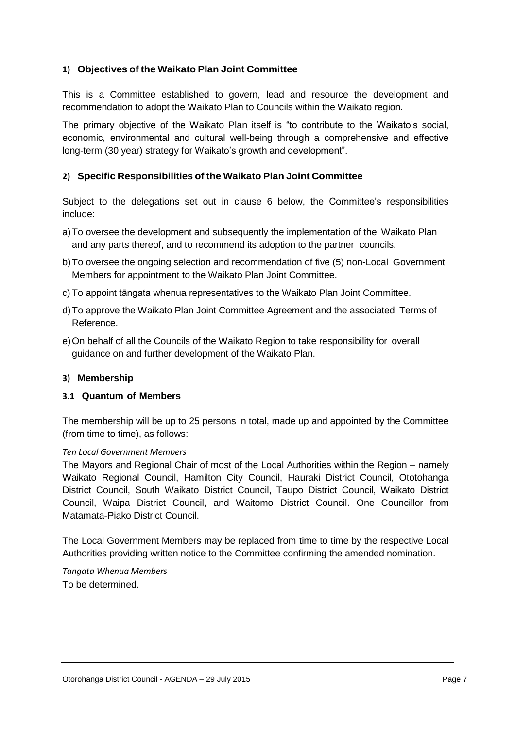# **1) Objectives of the Waikato Plan Joint Committee**

This is a Committee established to govern, lead and resource the development and recommendation to adopt the Waikato Plan to Councils within the Waikato region.

The primary objective of the Waikato Plan itself is "to contribute to the Waikato's social, economic, environmental and cultural well-being through a comprehensive and effective long-term (30 year) strategy for Waikato's growth and development".

# **2) Specific Responsibilities of the Waikato Plan Joint Committee**

Subject to the delegations set out in clause 6 below, the Committee's responsibilities include:

- a)To oversee the development and subsequently the implementation of the Waikato Plan and any parts thereof, and to recommend its adoption to the partner councils.
- b)To oversee the ongoing selection and recommendation of five (5) non-Local Government Members for appointment to the Waikato Plan Joint Committee.
- c) To appoint tāngata whenua representatives to the Waikato Plan Joint Committee.
- d)To approve the Waikato Plan Joint Committee Agreement and the associated Terms of Reference.
- e)On behalf of all the Councils of the Waikato Region to take responsibility for overall guidance on and further development of the Waikato Plan.

#### **3) Membership**

#### **3.1 Quantum of Members**

The membership will be up to 25 persons in total, made up and appointed by the Committee (from time to time), as follows:

#### *Ten Local Government Members*

The Mayors and Regional Chair of most of the Local Authorities within the Region – namely Waikato Regional Council, Hamilton City Council, Hauraki District Council, Ototohanga District Council, South Waikato District Council, Taupo District Council, Waikato District Council, Waipa District Council, and Waitomo District Council. One Councillor from Matamata-Piako District Council.

The Local Government Members may be replaced from time to time by the respective Local Authorities providing written notice to the Committee confirming the amended nomination.

*Tangata Whenua Members* To be determined.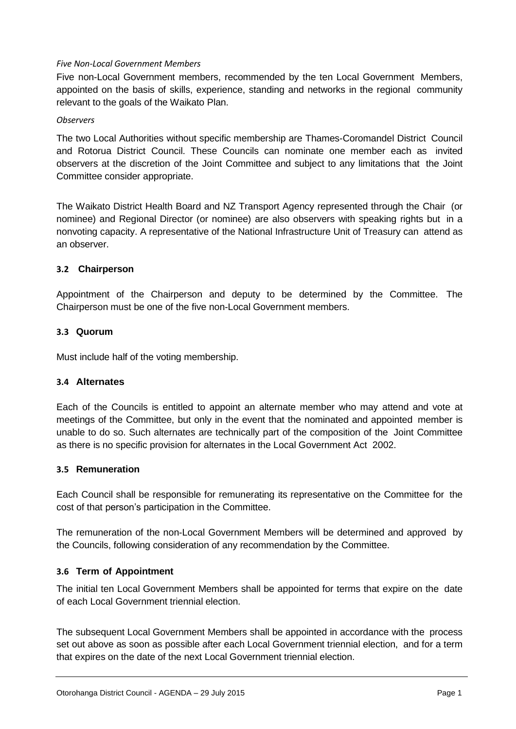# *Five Non-Local Government Members*

Five non-Local Government members, recommended by the ten Local Government Members, appointed on the basis of skills, experience, standing and networks in the regional community relevant to the goals of the Waikato Plan.

# *Observers*

The two Local Authorities without specific membership are Thames-Coromandel District Council and Rotorua District Council. These Councils can nominate one member each as invited observers at the discretion of the Joint Committee and subject to any limitations that the Joint Committee consider appropriate.

The Waikato District Health Board and NZ Transport Agency represented through the Chair (or nominee) and Regional Director (or nominee) are also observers with speaking rights but in a nonvoting capacity. A representative of the National Infrastructure Unit of Treasury can attend as an observer.

# **3.2 Chairperson**

Appointment of the Chairperson and deputy to be determined by the Committee. The Chairperson must be one of the five non-Local Government members.

# **3.3 Quorum**

Must include half of the voting membership.

# **3.4 Alternates**

Each of the Councils is entitled to appoint an alternate member who may attend and vote at meetings of the Committee, but only in the event that the nominated and appointed member is unable to do so. Such alternates are technically part of the composition of the Joint Committee as there is no specific provision for alternates in the Local Government Act 2002.

# **3.5 Remuneration**

Each Council shall be responsible for remunerating its representative on the Committee for the cost of that person's participation in the Committee.

The remuneration of the non-Local Government Members will be determined and approved by the Councils, following consideration of any recommendation by the Committee.

# **3.6 Term of Appointment**

The initial ten Local Government Members shall be appointed for terms that expire on the date of each Local Government triennial election.

The subsequent Local Government Members shall be appointed in accordance with the process set out above as soon as possible after each Local Government triennial election, and for a term that expires on the date of the next Local Government triennial election.